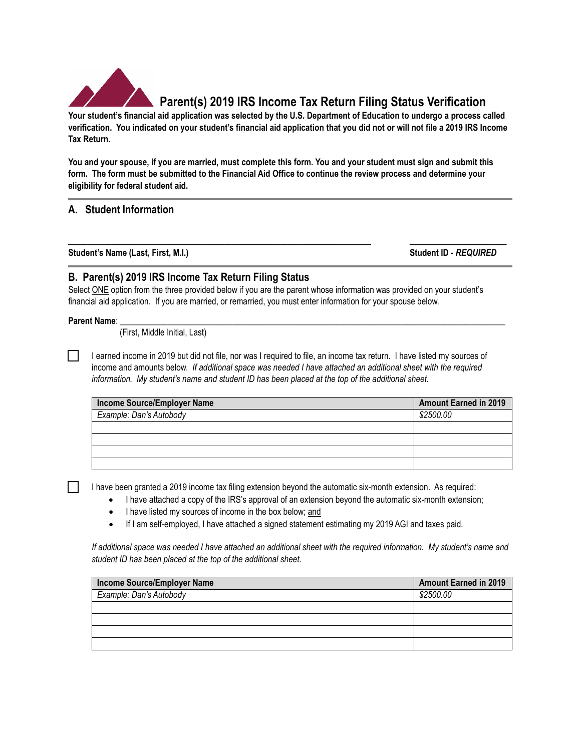

# **Parent(s) 2019 IRS Income Tax Return Filing Status Verification**

**Your student's financial aid application was selected by the U.S. Department of Education to undergo a process called verification. You indicated on your student's financial aid application that you did not or will not file a 2019 IRS Income Tax Return.**

**You and your spouse, if you are married, must complete this form. You and your student must sign and submit this form. The form must be submitted to the Financial Aid Office to continue the review process and determine your eligibility for federal student aid.** 

**\_\_\_\_\_\_\_\_\_\_\_\_\_\_\_\_\_\_\_\_\_\_\_\_\_\_\_\_\_\_\_\_\_\_\_\_\_\_\_\_\_\_\_\_\_\_\_\_\_\_ \_\_\_\_\_\_\_\_\_\_\_\_\_\_\_\_**

## **A. Student Information**

**Student's Name (Last, First, M.I.) Student ID -** *REQUIRED*

### **B. Parent(s) 2019 IRS Income Tax Return Filing Status**

Select ONE option from the three provided below if you are the parent whose information was provided on your student's financial aid application. If you are married, or remarried, you must enter information for your spouse below.

#### **Parent Name**: \_\_\_\_\_\_\_\_\_\_\_\_\_\_\_\_\_\_\_\_\_\_\_\_\_\_\_\_\_\_\_\_\_\_\_\_\_\_\_\_\_\_\_\_\_\_\_\_\_\_\_\_\_\_\_\_\_\_\_\_\_\_\_\_\_\_\_\_\_\_\_\_\_\_\_\_\_\_\_\_\_\_\_\_\_\_\_\_\_

 $\Box$ 

(First, Middle Initial, Last)

I earned income in 2019 but did not file, nor was I required to file, an income tax return. I have listed my sources of income and amounts below. *If additional space was needed I have attached an additional sheet with the required information. My student's name and student ID has been placed at the top of the additional sheet.*

| Income Source/Employer Name | <b>Amount Earned in 2019</b> |
|-----------------------------|------------------------------|
| Example: Dan's Autobody     | \$2500.00                    |
|                             |                              |
|                             |                              |
|                             |                              |
|                             |                              |

I have been granted a 2019 income tax filing extension beyond the automatic six-month extension. As required:

- I have attached a copy of the IRS's approval of an extension beyond the automatic six-month extension;
	- I have listed my sources of income in the box below; and
- If I am self-employed, I have attached a signed statement estimating my 2019 AGI and taxes paid.

*If additional space was needed I have attached an additional sheet with the required information. My student's name and student ID has been placed at the top of the additional sheet.*

| <b>Income Source/Employer Name</b> | <b>Amount Earned in 2019</b> |
|------------------------------------|------------------------------|
| Example: Dan's Autobody            | \$2500.00                    |
|                                    |                              |
|                                    |                              |
|                                    |                              |
|                                    |                              |